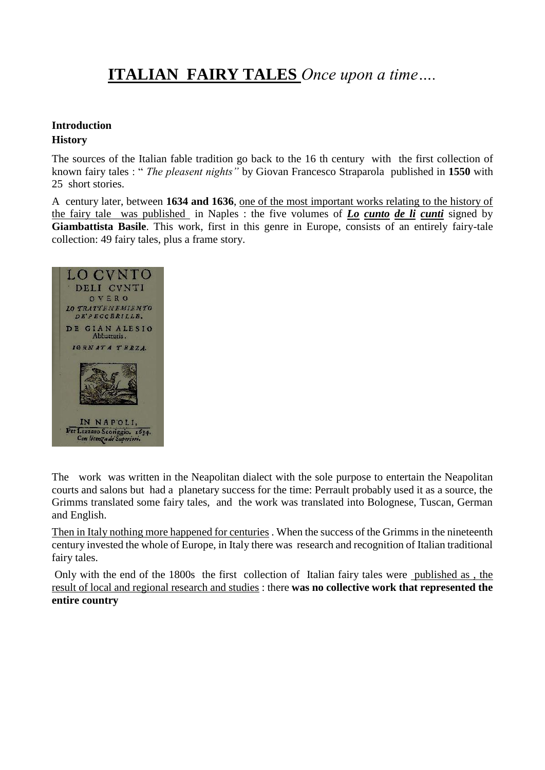# **ITALIAN FAIRY TALES** *Once upon a time….*

# **Introduction**

### **History**

The sources of the Italian fable tradition go back to the 16 th century with the first collection of known fairy tales : " *The pleasent nights"* by Giovan Francesco Straparola published in **1550** with 25 short stories.

A century later, between **1634 and 1636**, one of the most important works relating to the history of the fairy tale was published in Naples : the five volumes of *Lo cunto de li cunti* signed by **Giambattista Basile**. This work, first in this genre in Europe, consists of an entirely fairy-tale collection: 49 fairy tales, plus a frame story.



The work was written in the Neapolitan dialect with the sole purpose to entertain the Neapolitan courts and salons but had a planetary success for the time: Perrault probably used it as a source, the Grimms translated some fairy tales, and the work was translated into Bolognese, Tuscan, German and English.

Then in Italy nothing more happened for centuries . When the success of the Grimms in the nineteenth century invested the whole of Europe, in Italy there was research and recognition of Italian traditional fairy tales.

Only with the end of the 1800s the first collection of Italian fairy tales were published as , the result of local and regional research and studies : there **was no collective work that represented the entire country**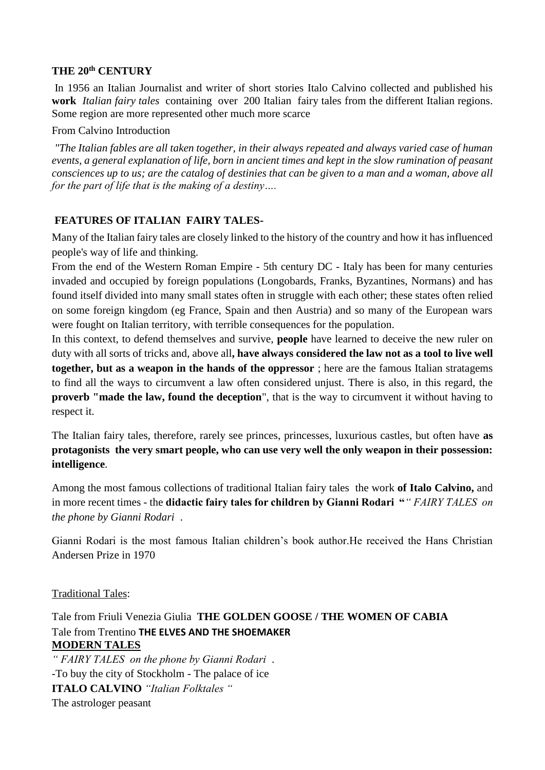#### **THE 20th CENTURY**

In 1956 an Italian Journalist and writer of short stories Italo Calvino collected and published his **work** *Italian fairy tales* containing over 200 Italian fairy tales from the different Italian regions. Some region are more represented other much more scarce

#### From Calvino Introduction

*"The Italian fables are all taken together, in their always repeated and always varied case of human events, a general explanation of life, born in ancient times and kept in the slow rumination of peasant consciences up to us; are the catalog of destinies that can be given to a man and a woman, above all for the part of life that is the making of a destiny….*

### **FEATURES OF ITALIAN FAIRY TALES-**

Many of the Italian fairy tales are closely linked to the history of the country and how it has influenced people's way of life and thinking.

From the end of the Western Roman Empire - 5th century DC - Italy has been for many centuries invaded and occupied by foreign populations (Longobards, Franks, Byzantines, Normans) and has found itself divided into many small states often in struggle with each other; these states often relied on some foreign kingdom (eg France, Spain and then Austria) and so many of the European wars were fought on Italian territory, with terrible consequences for the population.

In this context, to defend themselves and survive, **people** have learned to deceive the new ruler on duty with all sorts of tricks and, above all**, have always considered the law not as a tool to live well together, but as a weapon in the hands of the oppressor** ; here are the famous Italian stratagems to find all the ways to circumvent a law often considered unjust. There is also, in this regard, the **proverb "made the law, found the deception**", that is the way to circumvent it without having to respect it.

The Italian fairy tales, therefore, rarely see princes, princesses, luxurious castles, but often have **as protagonists the very smart people, who can use very well the only weapon in their possession: intelligence**.

Among the most famous collections of traditional Italian fairy tales the work **of Italo Calvino,** and in more recent times - the **didactic fairy tales for children by Gianni Rodari "***" FAIRY TALES on the phone by Gianni Rodari* .

Gianni Rodari is the most famous Italian children's book author.He received the Hans Christian Andersen Prize in 1970

#### Traditional Tales:

Tale from Friuli Venezia Giulia **THE GOLDEN GOOSE / THE WOMEN OF CABIA** Tale from Trentino **THE ELVES AND THE SHOEMAKER MODERN TALES**

*" FAIRY TALES on the phone by Gianni Rodari* . -To buy the city of Stockholm - The palace of ice **ITALO CALVINO** *"Italian Folktales "* The astrologer peasant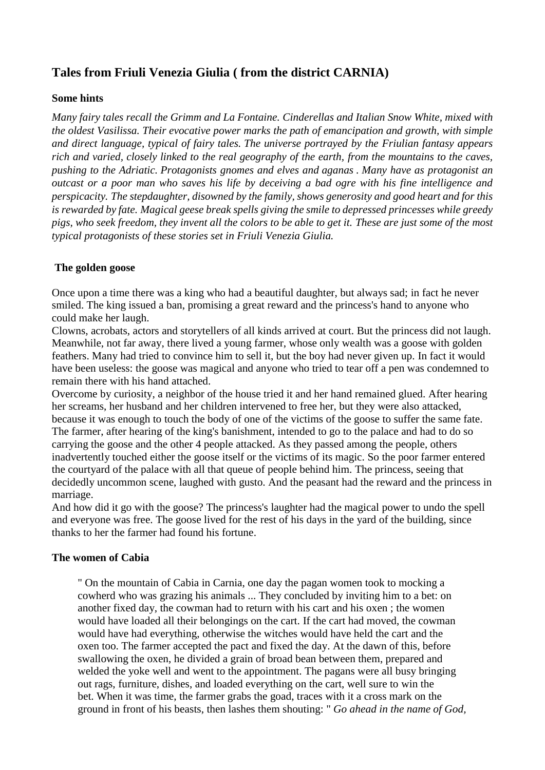# **Tales from Friuli Venezia Giulia ( from the district CARNIA)**

#### **Some hints**

*Many fairy tales recall the Grimm and La Fontaine. Cinderellas and Italian Snow White, mixed with the oldest Vasilissa. Their evocative power marks the path of emancipation and growth, with simple and direct language, typical of fairy tales. The universe portrayed by the Friulian fantasy appears rich and varied, closely linked to the real geography of the earth, from the mountains to the caves, pushing to the Adriatic. Protagonists gnomes and elves and aganas . Many have as protagonist an outcast or a poor man who saves his life by deceiving a bad ogre with his fine intelligence and perspicacity. The stepdaughter, disowned by the family, shows generosity and good heart and for this is rewarded by fate. Magical geese break spells giving the smile to depressed princesses while greedy pigs, who seek freedom, they invent all the colors to be able to get it. These are just some of the most typical protagonists of these stories set in Friuli Venezia Giulia.*

### **The golden goose**

Once upon a time there was a king who had a beautiful daughter, but always sad; in fact he never smiled. The king issued a ban, promising a great reward and the princess's hand to anyone who could make her laugh.

Clowns, acrobats, actors and storytellers of all kinds arrived at court. But the princess did not laugh. Meanwhile, not far away, there lived a young farmer, whose only wealth was a goose with golden feathers. Many had tried to convince him to sell it, but the boy had never given up. In fact it would have been useless: the goose was magical and anyone who tried to tear off a pen was condemned to remain there with his hand attached.

Overcome by curiosity, a neighbor of the house tried it and her hand remained glued. After hearing her screams, her husband and her children intervened to free her, but they were also attacked, because it was enough to touch the body of one of the victims of the goose to suffer the same fate. The farmer, after hearing of the king's banishment, intended to go to the palace and had to do so carrying the goose and the other 4 people attacked. As they passed among the people, others inadvertently touched either the goose itself or the victims of its magic. So the poor farmer entered the courtyard of the palace with all that queue of people behind him. The princess, seeing that decidedly uncommon scene, laughed with gusto. And the peasant had the reward and the princess in marriage.

And how did it go with the goose? The princess's laughter had the magical power to undo the spell and everyone was free. The goose lived for the rest of his days in the yard of the building, since thanks to her the farmer had found his fortune.

#### **The women of Cabia**

" On the mountain of Cabia in Carnia, one day the pagan women took to mocking a cowherd who was grazing his animals ... They concluded by inviting him to a bet: on another fixed day, the cowman had to return with his cart and his oxen ; the women would have loaded all their belongings on the cart. If the cart had moved, the cowman would have had everything, otherwise the witches would have held the cart and the oxen too. The farmer accepted the pact and fixed the day. At the dawn of this, before swallowing the oxen, he divided a grain of broad bean between them, prepared and welded the yoke well and went to the appointment. The pagans were all busy bringing out rags, furniture, dishes, and loaded everything on the cart, well sure to win the bet. When it was time, the farmer grabs the goad, traces with it a cross mark on the ground in front of his beasts, then lashes them shouting: " *Go ahead in the name of God,*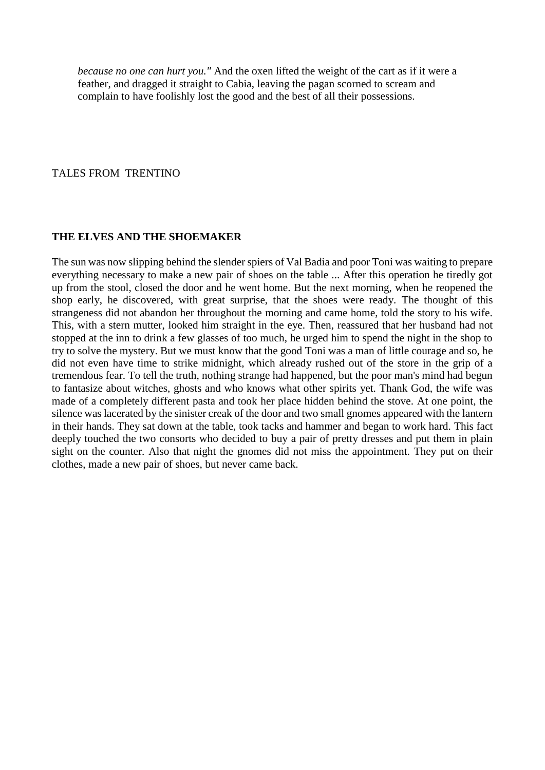*because no one can hurt you."* And the oxen lifted the weight of the cart as if it were a feather, and dragged it straight to Cabia, leaving the pagan scorned to scream and complain to have foolishly lost the good and the best of all their possessions.

#### TALES FROM TRENTINO

#### **THE ELVES AND THE SHOEMAKER**

The sun was now slipping behind the slender spiers of Val Badia and poor Toni was waiting to prepare everything necessary to make a new pair of shoes on the table ... After this operation he tiredly got up from the stool, closed the door and he went home. But the next morning, when he reopened the shop early, he discovered, with great surprise, that the shoes were ready. The thought of this strangeness did not abandon her throughout the morning and came home, told the story to his wife. This, with a stern mutter, looked him straight in the eye. Then, reassured that her husband had not stopped at the inn to drink a few glasses of too much, he urged him to spend the night in the shop to try to solve the mystery. But we must know that the good Toni was a man of little courage and so, he did not even have time to strike midnight, which already rushed out of the store in the grip of a tremendous fear. To tell the truth, nothing strange had happened, but the poor man's mind had begun to fantasize about witches, ghosts and who knows what other spirits yet. Thank God, the wife was made of a completely different pasta and took her place hidden behind the stove. At one point, the silence was lacerated by the sinister creak of the door and two small gnomes appeared with the lantern in their hands. They sat down at the table, took tacks and hammer and began to work hard. This fact deeply touched the two consorts who decided to buy a pair of pretty dresses and put them in plain sight on the counter. Also that night the gnomes did not miss the appointment. They put on their clothes, made a new pair of shoes, but never came back.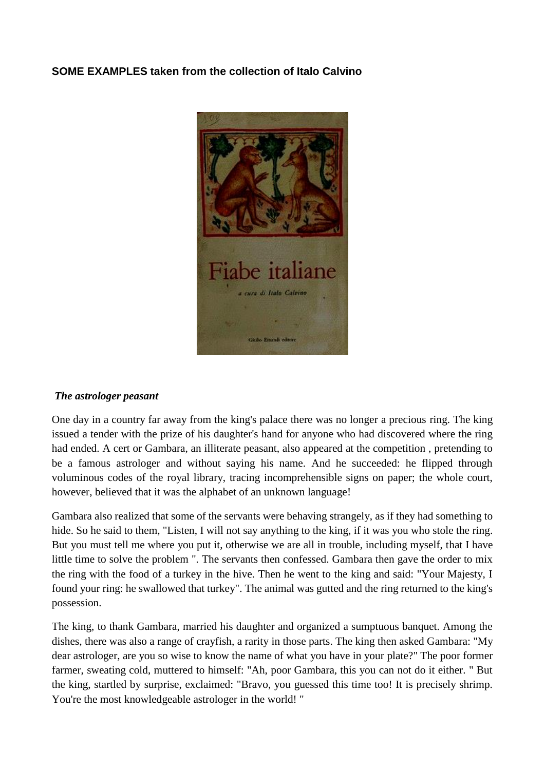## **SOME EXAMPLES taken from the collection of Italo Calvino**



#### *The astrologer peasant*

One day in a country far away from the king's palace there was no longer a precious ring. The king issued a tender with the prize of his daughter's hand for anyone who had discovered where the ring had ended. A cert or Gambara, an illiterate peasant, also appeared at the competition , pretending to be a famous astrologer and without saying his name. And he succeeded: he flipped through voluminous codes of the royal library, tracing incomprehensible signs on paper; the whole court, however, believed that it was the alphabet of an unknown language!

Gambara also realized that some of the servants were behaving strangely, as if they had something to hide. So he said to them, "Listen, I will not say anything to the king, if it was you who stole the ring. But you must tell me where you put it, otherwise we are all in trouble, including myself, that I have little time to solve the problem ". The servants then confessed. Gambara then gave the order to mix the ring with the food of a turkey in the hive. Then he went to the king and said: "Your Majesty, I found your ring: he swallowed that turkey". The animal was gutted and the ring returned to the king's possession.

The king, to thank Gambara, married his daughter and organized a sumptuous banquet. Among the dishes, there was also a range of crayfish, a rarity in those parts. The king then asked Gambara: "My dear astrologer, are you so wise to know the name of what you have in your plate?" The poor former farmer, sweating cold, muttered to himself: "Ah, poor Gambara, this you can not do it either. " But the king, startled by surprise, exclaimed: "Bravo, you guessed this time too! It is precisely shrimp. You're the most knowledgeable astrologer in the world!"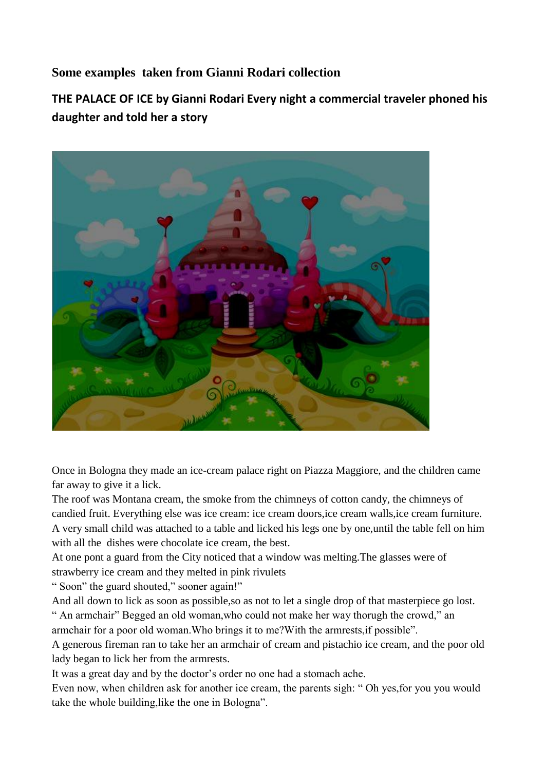## **Some examples taken from Gianni Rodari collection**

**THE PALACE OF ICE by Gianni Rodari Every night a commercial traveler phoned his daughter and told her a story**



Once in Bologna they made an ice-cream palace right on Piazza Maggiore, and the children came far away to give it a lick.

The roof was Montana cream, the smoke from the chimneys of cotton candy, the chimneys of candied fruit. Everything else was ice cream: ice cream doors,ice cream walls,ice cream furniture. A very small child was attached to a table and licked his legs one by one,until the table fell on him with all the dishes were chocolate ice cream, the best.

At one pont a guard from the City noticed that a window was melting.The glasses were of strawberry ice cream and they melted in pink rivulets

" Soon" the guard shouted," sooner again!"

And all down to lick as soon as possible,so as not to let a single drop of that masterpiece go lost.

" An armchair" Begged an old woman,who could not make her way thorugh the crowd," an armchair for a poor old woman.Who brings it to me?With the armrests,if possible".

A generous fireman ran to take her an armchair of cream and pistachio ice cream, and the poor old lady began to lick her from the armrests.

It was a great day and by the doctor's order no one had a stomach ache.

Even now, when children ask for another ice cream, the parents sigh: " Oh yes,for you you would take the whole building,like the one in Bologna".